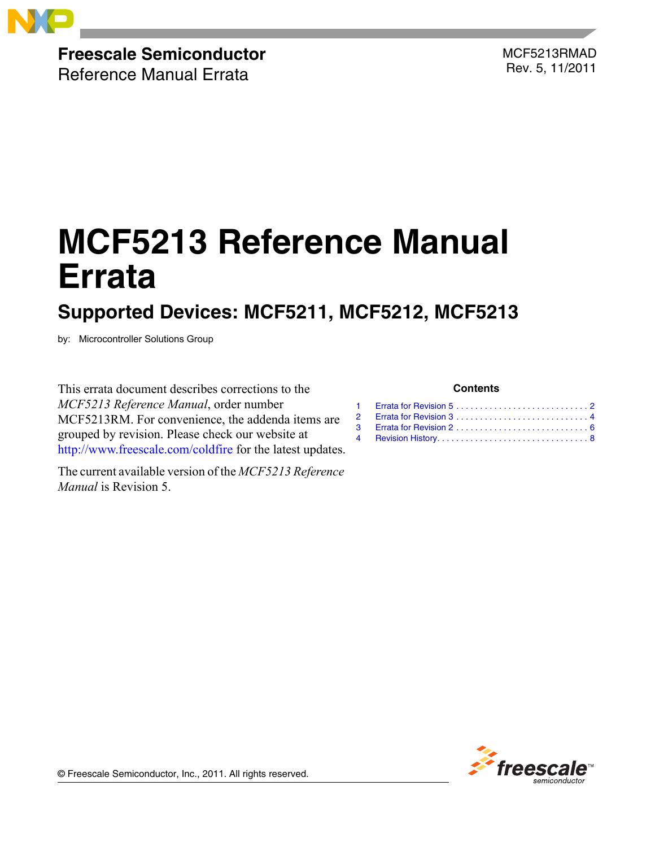

**Freescale Semiconductor**

Reference Manual Errata

 MCF5213RMAD Rev. 5, 11/2011

# **MCF5213 Reference Manual Errata**

# **Supported Devices: MCF5211, MCF5212, MCF5213**

by: Microcontroller Solutions Group

This errata document describes corrections to the *MCF5213 Reference Manual*, order number MCF5213RM. For convenience, the addenda items are grouped by revision. Please check our website at [http://www.freescale.com/coldfire](http://www.freescale.com) for the latest updates.

The current available version of the *MCF5213 Reference Manual* is Revision 5.

#### **Contents**



© Freescale Semiconductor, Inc., 2011. All rights reserved.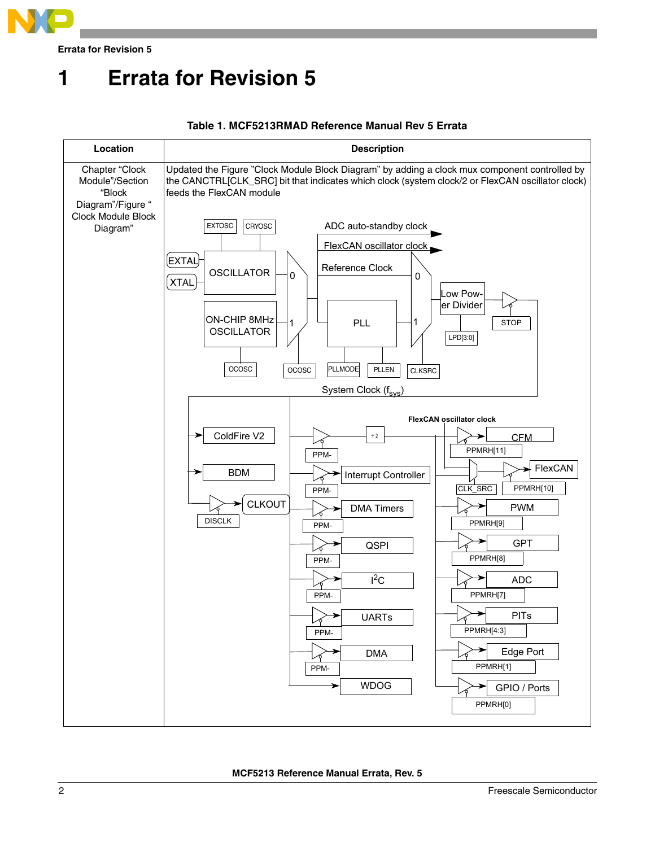

**Errata for Revision 5**

# <span id="page-1-0"></span>**1 Errata for Revision 5**



### **Table 1. MCF5213RMAD Reference Manual Rev 5 Errata**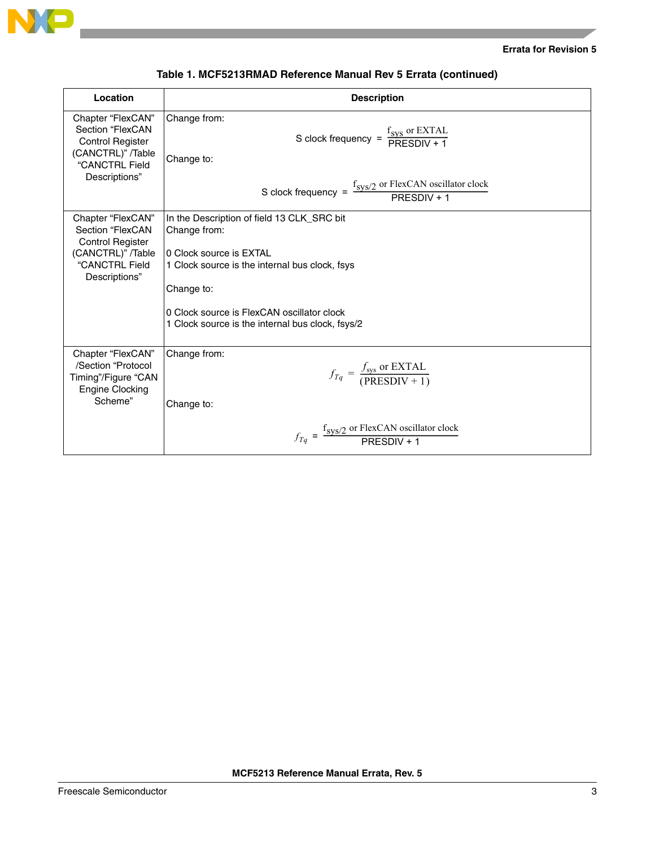

and the state of the state of the

| Location                                                                                                                 | <b>Description</b>                                                                                                                                                                                                                                      |
|--------------------------------------------------------------------------------------------------------------------------|---------------------------------------------------------------------------------------------------------------------------------------------------------------------------------------------------------------------------------------------------------|
| Chapter "FlexCAN"<br>Section "FlexCAN<br><b>Control Register</b><br>(CANCTRL)" /Table<br>"CANCTRL Field<br>Descriptions" | Change from:<br>S clock frequency = $\frac{f_{sys} \text{ or EXTAL}}{PRFSDIV+1}$<br>Change to:<br>S clock frequency = $\frac{f_{\text{sys/2}}}{P\text{RESDIV} + 1}$                                                                                     |
| Chapter "FlexCAN"<br>Section "FlexCAN<br><b>Control Register</b><br>(CANCTRL)" /Table<br>"CANCTRL Field<br>Descriptions" | In the Description of field 13 CLK_SRC bit<br>Change from:<br>0 Clock source is EXTAL<br>1 Clock source is the internal bus clock, fsys<br>Change to:<br>0 Clock source is FlexCAN oscillator clock<br>1 Clock source is the internal bus clock, fsys/2 |
| Chapter "FlexCAN"<br>/Section "Protocol<br>Timing"/Figure "CAN<br><b>Engine Clocking</b><br>Scheme"                      | Change from:<br>$f_{Tq} = \frac{f_{sys} \text{ or EXTAL}}{(PRESDIV + 1)}$<br>Change to:<br>$f_{Tq} = \frac{f_{\text{sys}/2} \text{ or FlexCAN oscillator clock}}{PRFSDIV + 1}$                                                                          |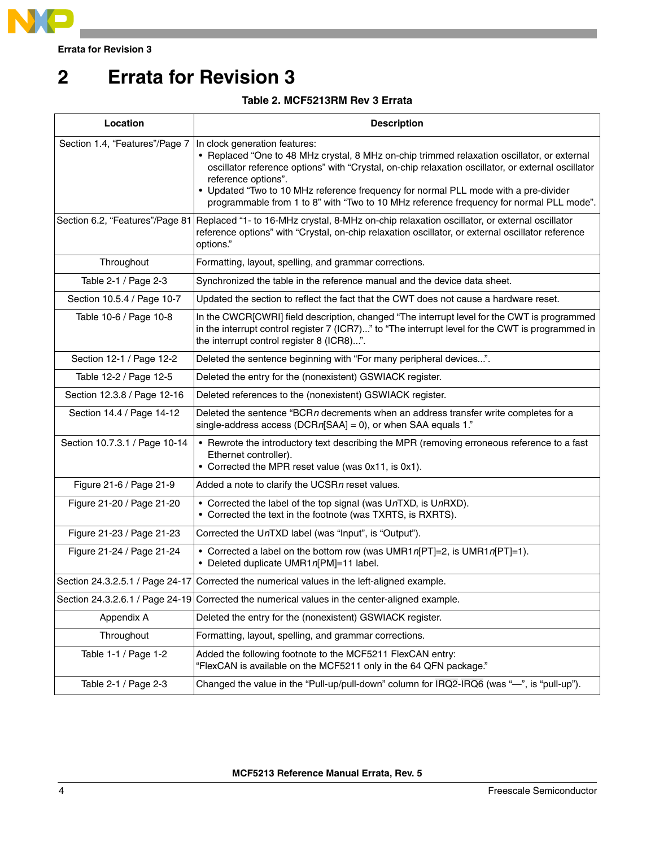

**Errata for Revision 3**

# <span id="page-3-0"></span>**2 Errata for Revision 3**

### **Table 2. MCF5213RM Rev 3 Errata**

<span id="page-3-1"></span>

| Location                        | <b>Description</b>                                                                                                                                                                                                                                                                                                                                                                                                                          |
|---------------------------------|---------------------------------------------------------------------------------------------------------------------------------------------------------------------------------------------------------------------------------------------------------------------------------------------------------------------------------------------------------------------------------------------------------------------------------------------|
| Section 1.4, "Features"/Page 7  | In clock generation features:<br>• Replaced "One to 48 MHz crystal, 8 MHz on-chip trimmed relaxation oscillator, or external<br>oscillator reference options" with "Crystal, on-chip relaxation oscillator, or external oscillator<br>reference options".<br>• Updated "Two to 10 MHz reference frequency for normal PLL mode with a pre-divider<br>programmable from 1 to 8" with "Two to 10 MHz reference frequency for normal PLL mode". |
|                                 | Section 6.2, "Features"/Page 81 Replaced "1- to 16-MHz crystal, 8-MHz on-chip relaxation oscillator, or external oscillator<br>reference options" with "Crystal, on-chip relaxation oscillator, or external oscillator reference<br>options."                                                                                                                                                                                               |
| Throughout                      | Formatting, layout, spelling, and grammar corrections.                                                                                                                                                                                                                                                                                                                                                                                      |
| Table 2-1 / Page 2-3            | Synchronized the table in the reference manual and the device data sheet.                                                                                                                                                                                                                                                                                                                                                                   |
| Section 10.5.4 / Page 10-7      | Updated the section to reflect the fact that the CWT does not cause a hardware reset.                                                                                                                                                                                                                                                                                                                                                       |
| Table 10-6 / Page 10-8          | In the CWCR[CWRI] field description, changed "The interrupt level for the CWT is programmed<br>in the interrupt control register 7 (ICR7)" to "The interrupt level for the CWT is programmed in<br>the interrupt control register 8 (ICR8)".                                                                                                                                                                                                |
| Section 12-1 / Page 12-2        | Deleted the sentence beginning with "For many peripheral devices".                                                                                                                                                                                                                                                                                                                                                                          |
| Table 12-2 / Page 12-5          | Deleted the entry for the (nonexistent) GSWIACK register.                                                                                                                                                                                                                                                                                                                                                                                   |
| Section 12.3.8 / Page 12-16     | Deleted references to the (nonexistent) GSWIACK register.                                                                                                                                                                                                                                                                                                                                                                                   |
| Section 14.4 / Page 14-12       | Deleted the sentence "BCRn decrements when an address transfer write completes for a<br>single-address access (DCR $n$ [SAA] = 0), or when SAA equals 1."                                                                                                                                                                                                                                                                                   |
| Section 10.7.3.1 / Page 10-14   | • Rewrote the introductory text describing the MPR (removing erroneous reference to a fast<br>Ethernet controller).<br>• Corrected the MPR reset value (was 0x11, is 0x1).                                                                                                                                                                                                                                                                  |
| Figure 21-6 / Page 21-9         | Added a note to clarify the UCSRn reset values.                                                                                                                                                                                                                                                                                                                                                                                             |
| Figure 21-20 / Page 21-20       | • Corrected the label of the top signal (was UnTXD, is UnRXD).<br>• Corrected the text in the footnote (was TXRTS, is RXRTS).                                                                                                                                                                                                                                                                                                               |
| Figure 21-23 / Page 21-23       | Corrected the UnTXD label (was "Input", is "Output").                                                                                                                                                                                                                                                                                                                                                                                       |
| Figure 21-24 / Page 21-24       | • Corrected a label on the bottom row (was UMR1n[PT]=2, is UMR1n[PT]=1).<br>• Deleted duplicate UMR1n[PM]=11 label.                                                                                                                                                                                                                                                                                                                         |
| Section 24.3.2.5.1 / Page 24-17 | Corrected the numerical values in the left-aligned example.                                                                                                                                                                                                                                                                                                                                                                                 |
|                                 | Section 24.3.2.6.1 / Page 24-19 Corrected the numerical values in the center-aligned example.                                                                                                                                                                                                                                                                                                                                               |
| Appendix A                      | Deleted the entry for the (nonexistent) GSWIACK register.                                                                                                                                                                                                                                                                                                                                                                                   |
| Throughout                      | Formatting, layout, spelling, and grammar corrections.                                                                                                                                                                                                                                                                                                                                                                                      |
| Table 1-1 / Page 1-2            | Added the following footnote to the MCF5211 FlexCAN entry:<br>"FlexCAN is available on the MCF5211 only in the 64 QFN package."                                                                                                                                                                                                                                                                                                             |
| Table 2-1 / Page 2-3            | Changed the value in the "Pull-up/pull-down" column for $\overline{IRQ2}$ - $\overline{IRQ6}$ (was "-", is "pull-up").                                                                                                                                                                                                                                                                                                                      |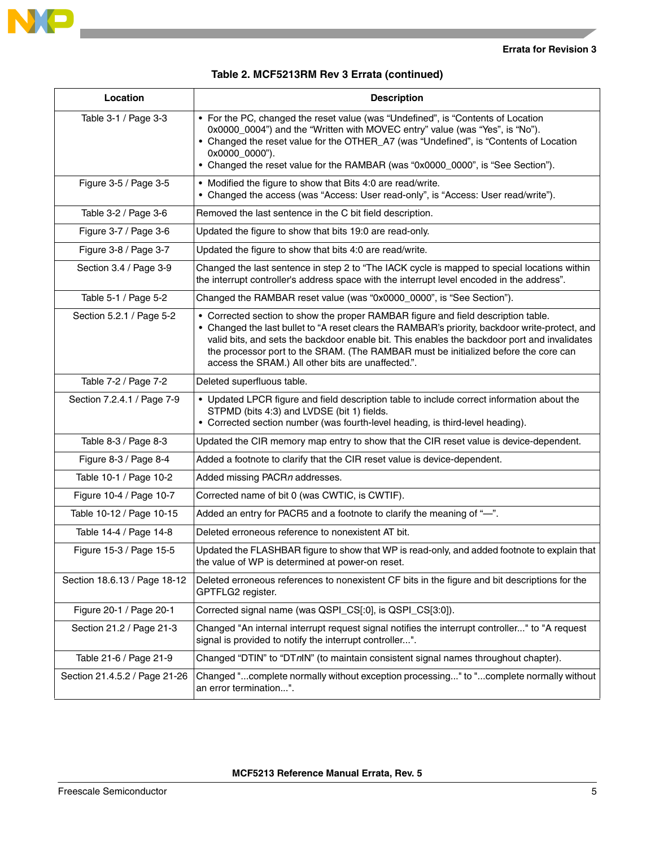

a sa kacamatan ing Kabupatèn Kabupatèn Ing

| Table 2. MCF5213RM Rev 3 Errata (continued) |  |
|---------------------------------------------|--|
|---------------------------------------------|--|

| Location                      | <b>Description</b>                                                                                                                                                                                                                                                                                                                                                                                                                |
|-------------------------------|-----------------------------------------------------------------------------------------------------------------------------------------------------------------------------------------------------------------------------------------------------------------------------------------------------------------------------------------------------------------------------------------------------------------------------------|
| Table 3-1 / Page 3-3          | • For the PC, changed the reset value (was "Undefined", is "Contents of Location<br>0x0000_0004") and the "Written with MOVEC entry" value (was "Yes", is "No").<br>• Changed the reset value for the OTHER_A7 (was "Undefined", is "Contents of Location<br>0x0000_0000").                                                                                                                                                       |
|                               | • Changed the reset value for the RAMBAR (was "0x0000_0000", is "See Section").                                                                                                                                                                                                                                                                                                                                                   |
| Figure 3-5 / Page 3-5         | • Modified the figure to show that Bits 4:0 are read/write.<br>• Changed the access (was "Access: User read-only", is "Access: User read/write").                                                                                                                                                                                                                                                                                 |
| Table 3-2 / Page 3-6          | Removed the last sentence in the C bit field description.                                                                                                                                                                                                                                                                                                                                                                         |
| Figure 3-7 / Page 3-6         | Updated the figure to show that bits 19:0 are read-only.                                                                                                                                                                                                                                                                                                                                                                          |
| Figure 3-8 / Page 3-7         | Updated the figure to show that bits 4:0 are read/write.                                                                                                                                                                                                                                                                                                                                                                          |
| Section 3.4 / Page 3-9        | Changed the last sentence in step 2 to "The IACK cycle is mapped to special locations within<br>the interrupt controller's address space with the interrupt level encoded in the address".                                                                                                                                                                                                                                        |
| Table 5-1 / Page 5-2          | Changed the RAMBAR reset value (was "0x0000_0000", is "See Section").                                                                                                                                                                                                                                                                                                                                                             |
| Section 5.2.1 / Page 5-2      | • Corrected section to show the proper RAMBAR figure and field description table.<br>• Changed the last bullet to "A reset clears the RAMBAR's priority, backdoor write-protect, and<br>valid bits, and sets the backdoor enable bit. This enables the backdoor port and invalidates<br>the processor port to the SRAM. (The RAMBAR must be initialized before the core can<br>access the SRAM.) All other bits are unaffected.". |
| Table 7-2 / Page 7-2          | Deleted superfluous table.                                                                                                                                                                                                                                                                                                                                                                                                        |
| Section 7.2.4.1 / Page 7-9    | • Updated LPCR figure and field description table to include correct information about the<br>STPMD (bits 4:3) and LVDSE (bit 1) fields.<br>• Corrected section number (was fourth-level heading, is third-level heading).                                                                                                                                                                                                        |
| Table 8-3 / Page 8-3          | Updated the CIR memory map entry to show that the CIR reset value is device-dependent.                                                                                                                                                                                                                                                                                                                                            |
| Figure 8-3 / Page 8-4         | Added a footnote to clarify that the CIR reset value is device-dependent.                                                                                                                                                                                                                                                                                                                                                         |
| Table 10-1 / Page 10-2        | Added missing PACRn addresses.                                                                                                                                                                                                                                                                                                                                                                                                    |
| Figure 10-4 / Page 10-7       | Corrected name of bit 0 (was CWTIC, is CWTIF).                                                                                                                                                                                                                                                                                                                                                                                    |
| Table 10-12 / Page 10-15      | Added an entry for PACR5 and a footnote to clarify the meaning of "-".                                                                                                                                                                                                                                                                                                                                                            |
| Table 14-4 / Page 14-8        | Deleted erroneous reference to nonexistent AT bit.                                                                                                                                                                                                                                                                                                                                                                                |
| Figure 15-3 / Page 15-5       | Updated the FLASHBAR figure to show that WP is read-only, and added footnote to explain that<br>the value of WP is determined at power-on reset.                                                                                                                                                                                                                                                                                  |
| Section 18.6.13 / Page 18-12  | Deleted erroneous references to nonexistent CF bits in the figure and bit descriptions for the<br>GPTFLG2 register.                                                                                                                                                                                                                                                                                                               |
| Figure 20-1 / Page 20-1       | Corrected signal name (was QSPI_CS[:0], is QSPI_CS[3:0]).                                                                                                                                                                                                                                                                                                                                                                         |
| Section 21.2 / Page 21-3      | Changed "An internal interrupt request signal notifies the interrupt controller" to "A request<br>signal is provided to notify the interrupt controller".                                                                                                                                                                                                                                                                         |
| Table 21-6 / Page 21-9        | Changed "DTIN" to "DTnIN" (to maintain consistent signal names throughout chapter).                                                                                                                                                                                                                                                                                                                                               |
| Section 21.4.5.2 / Page 21-26 | Changed "complete normally without exception processing" to "complete normally without<br>an error termination".                                                                                                                                                                                                                                                                                                                  |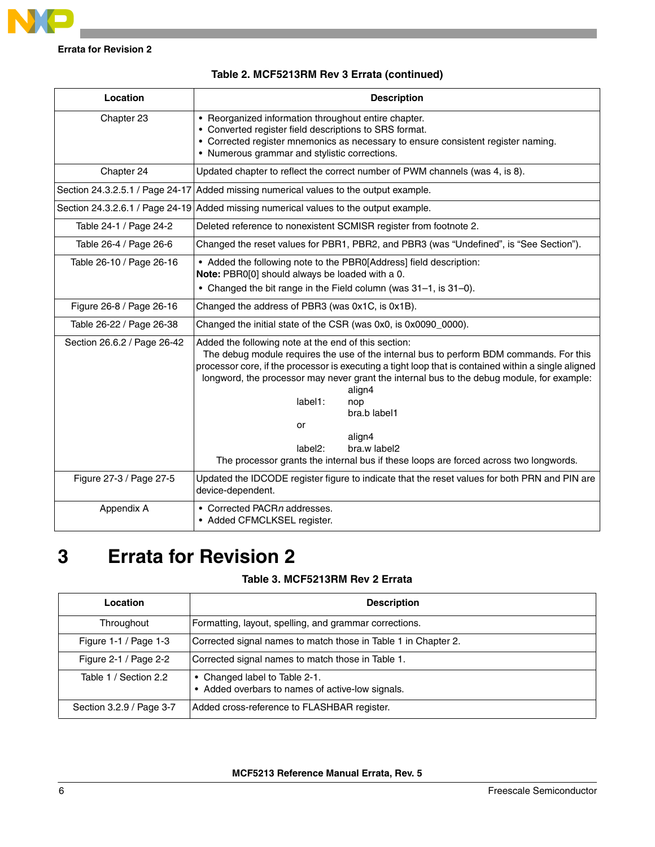

**Errata for Revision 2**

| Location                    | <b>Description</b>                                                                                                                                                                                                                                                                                                                                                                                                                                                                                                                                  |  |  |
|-----------------------------|-----------------------------------------------------------------------------------------------------------------------------------------------------------------------------------------------------------------------------------------------------------------------------------------------------------------------------------------------------------------------------------------------------------------------------------------------------------------------------------------------------------------------------------------------------|--|--|
| Chapter 23                  | • Reorganized information throughout entire chapter.<br>• Converted register field descriptions to SRS format.<br>• Corrected register mnemonics as necessary to ensure consistent register naming.<br>• Numerous grammar and stylistic corrections.                                                                                                                                                                                                                                                                                                |  |  |
| Chapter 24                  | Updated chapter to reflect the correct number of PWM channels (was 4, is 8).                                                                                                                                                                                                                                                                                                                                                                                                                                                                        |  |  |
|                             | Section 24.3.2.5.1 / Page 24-17 Added missing numerical values to the output example.                                                                                                                                                                                                                                                                                                                                                                                                                                                               |  |  |
|                             | Section 24.3.2.6.1 / Page 24-19 Added missing numerical values to the output example.                                                                                                                                                                                                                                                                                                                                                                                                                                                               |  |  |
| Table 24-1 / Page 24-2      | Deleted reference to nonexistent SCMISR register from footnote 2.                                                                                                                                                                                                                                                                                                                                                                                                                                                                                   |  |  |
| Table 26-4 / Page 26-6      | Changed the reset values for PBR1, PBR2, and PBR3 (was "Undefined", is "See Section").                                                                                                                                                                                                                                                                                                                                                                                                                                                              |  |  |
| Table 26-10 / Page 26-16    | • Added the following note to the PBR0[Address] field description:<br>Note: PBR0[0] should always be loaded with a 0.                                                                                                                                                                                                                                                                                                                                                                                                                               |  |  |
|                             | • Changed the bit range in the Field column (was 31-1, is 31-0).                                                                                                                                                                                                                                                                                                                                                                                                                                                                                    |  |  |
| Figure 26-8 / Page 26-16    | Changed the address of PBR3 (was 0x1C, is 0x1B).                                                                                                                                                                                                                                                                                                                                                                                                                                                                                                    |  |  |
| Table 26-22 / Page 26-38    | Changed the initial state of the CSR (was 0x0, is 0x0090_0000).                                                                                                                                                                                                                                                                                                                                                                                                                                                                                     |  |  |
| Section 26.6.2 / Page 26-42 | Added the following note at the end of this section:<br>The debug module requires the use of the internal bus to perform BDM commands. For this<br>processor core, if the processor is executing a tight loop that is contained within a single aligned<br>longword, the processor may never grant the internal bus to the debug module, for example:<br>align4<br>label1:1<br>nop<br>bra.b label1<br>or<br>align4<br>bra.w label2<br>label <sub>2</sub> :<br>The processor grants the internal bus if these loops are forced across two longwords. |  |  |
| Figure 27-3 / Page 27-5     | Updated the IDCODE register figure to indicate that the reset values for both PRN and PIN are<br>device-dependent.                                                                                                                                                                                                                                                                                                                                                                                                                                  |  |  |
| Appendix A                  | • Corrected PACRn addresses.<br>• Added CFMCLKSEL register.                                                                                                                                                                                                                                                                                                                                                                                                                                                                                         |  |  |

## **Table 2. MCF5213RM Rev 3 Errata (continued)**

# <span id="page-5-0"></span>**3 Errata for Revision 2**

### **Table 3. MCF5213RM Rev 2 Errata**

<span id="page-5-1"></span>

| <b>Location</b>          | <b>Description</b>                                                              |
|--------------------------|---------------------------------------------------------------------------------|
| Throughout               | Formatting, layout, spelling, and grammar corrections.                          |
| Figure 1-1 / Page 1-3    | Corrected signal names to match those in Table 1 in Chapter 2.                  |
| Figure 2-1 / Page 2-2    | Corrected signal names to match those in Table 1.                               |
| Table 1 / Section 2.2    | • Changed label to Table 2-1.<br>Added overbars to names of active-low signals. |
| Section 3.2.9 / Page 3-7 | Added cross-reference to FLASHBAR register.                                     |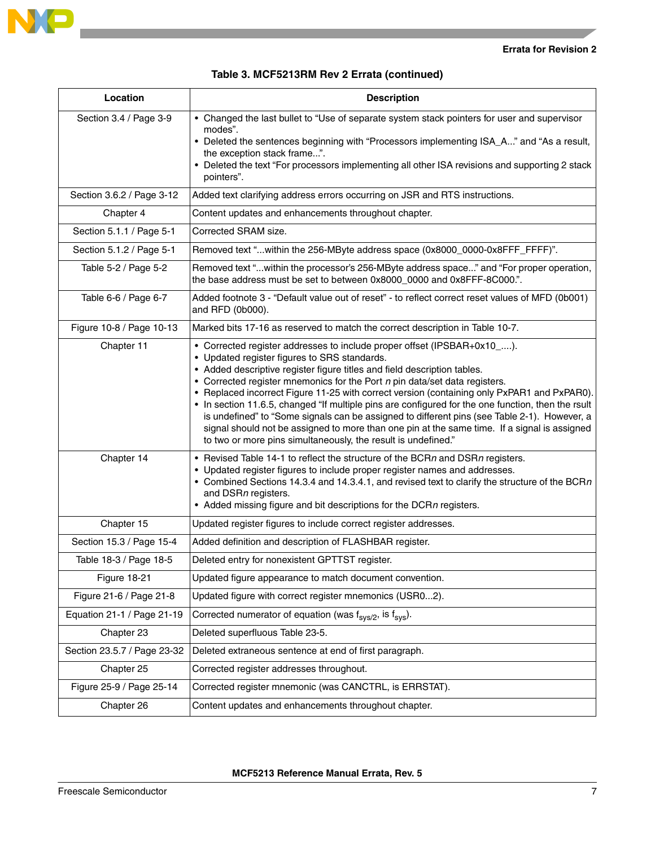

a sa kacamatan ing Kabupatèn Kabupatèn Ing

| Table 3. MCF5213RM Rev 2 Errata (continued) |  |
|---------------------------------------------|--|
|---------------------------------------------|--|

| Location                    | <b>Description</b>                                                                                                                                                                                                                                                                                                                                                                                                                                                                                                                                                                                                                                                                                                                                      |
|-----------------------------|---------------------------------------------------------------------------------------------------------------------------------------------------------------------------------------------------------------------------------------------------------------------------------------------------------------------------------------------------------------------------------------------------------------------------------------------------------------------------------------------------------------------------------------------------------------------------------------------------------------------------------------------------------------------------------------------------------------------------------------------------------|
| Section 3.4 / Page 3-9      | • Changed the last bullet to "Use of separate system stack pointers for user and supervisor<br>modes".<br>• Deleted the sentences beginning with "Processors implementing ISA_A" and "As a result,<br>the exception stack frame".<br>• Deleted the text "For processors implementing all other ISA revisions and supporting 2 stack<br>pointers".                                                                                                                                                                                                                                                                                                                                                                                                       |
| Section 3.6.2 / Page 3-12   | Added text clarifying address errors occurring on JSR and RTS instructions.                                                                                                                                                                                                                                                                                                                                                                                                                                                                                                                                                                                                                                                                             |
| Chapter 4                   | Content updates and enhancements throughout chapter.                                                                                                                                                                                                                                                                                                                                                                                                                                                                                                                                                                                                                                                                                                    |
| Section 5.1.1 / Page 5-1    | Corrected SRAM size.                                                                                                                                                                                                                                                                                                                                                                                                                                                                                                                                                                                                                                                                                                                                    |
| Section 5.1.2 / Page 5-1    | Removed text "within the 256-MByte address space (0x8000_0000-0x8FFF_FFFF)".                                                                                                                                                                                                                                                                                                                                                                                                                                                                                                                                                                                                                                                                            |
| Table 5-2 / Page 5-2        | Removed text "within the processor's 256-MByte address space" and "For proper operation,<br>the base address must be set to between 0x8000_0000 and 0x8FFF-8C000.".                                                                                                                                                                                                                                                                                                                                                                                                                                                                                                                                                                                     |
| Table 6-6 / Page 6-7        | Added footnote 3 - "Default value out of reset" - to reflect correct reset values of MFD (0b001)<br>and RFD (0b000).                                                                                                                                                                                                                                                                                                                                                                                                                                                                                                                                                                                                                                    |
| Figure 10-8 / Page 10-13    | Marked bits 17-16 as reserved to match the correct description in Table 10-7.                                                                                                                                                                                                                                                                                                                                                                                                                                                                                                                                                                                                                                                                           |
| Chapter 11                  | • Corrected register addresses to include proper offset (IPSBAR+0x10_).<br>• Updated register figures to SRS standards.<br>• Added descriptive register figure titles and field description tables.<br>• Corrected register mnemonics for the Port n pin data/set data registers.<br>• Replaced incorrect Figure 11-25 with correct version (containing only PxPAR1 and PxPAR0).<br>• In section 11.6.5, changed "If multiple pins are configured for the one function, then the rsult<br>is undefined" to "Some signals can be assigned to different pins (see Table 2-1). However, a<br>signal should not be assigned to more than one pin at the same time. If a signal is assigned<br>to two or more pins simultaneously, the result is undefined." |
| Chapter 14                  | • Revised Table 14-1 to reflect the structure of the BCRn and DSRn registers.<br>• Updated register figures to include proper register names and addresses.<br>• Combined Sections 14.3.4 and 14.3.4.1, and revised text to clarify the structure of the BCRn<br>and DSRn registers.<br>• Added missing figure and bit descriptions for the DCRn registers.                                                                                                                                                                                                                                                                                                                                                                                             |
| Chapter 15                  | Updated register figures to include correct register addresses.                                                                                                                                                                                                                                                                                                                                                                                                                                                                                                                                                                                                                                                                                         |
| Section 15.3 / Page 15-4    | Added definition and description of FLASHBAR register.                                                                                                                                                                                                                                                                                                                                                                                                                                                                                                                                                                                                                                                                                                  |
| Table 18-3 / Page 18-5      | Deleted entry for nonexistent GPTTST register.                                                                                                                                                                                                                                                                                                                                                                                                                                                                                                                                                                                                                                                                                                          |
| Figure 18-21                | Updated figure appearance to match document convention.                                                                                                                                                                                                                                                                                                                                                                                                                                                                                                                                                                                                                                                                                                 |
| Figure 21-6 / Page 21-8     | Updated figure with correct register mnemonics (USR02).                                                                                                                                                                                                                                                                                                                                                                                                                                                                                                                                                                                                                                                                                                 |
| Equation 21-1 / Page 21-19  | Corrected numerator of equation (was $f_{sys/2}$ , is $f_{sys}$ ).                                                                                                                                                                                                                                                                                                                                                                                                                                                                                                                                                                                                                                                                                      |
| Chapter 23                  | Deleted superfluous Table 23-5.                                                                                                                                                                                                                                                                                                                                                                                                                                                                                                                                                                                                                                                                                                                         |
| Section 23.5.7 / Page 23-32 | Deleted extraneous sentence at end of first paragraph.                                                                                                                                                                                                                                                                                                                                                                                                                                                                                                                                                                                                                                                                                                  |
| Chapter 25                  | Corrected register addresses throughout.                                                                                                                                                                                                                                                                                                                                                                                                                                                                                                                                                                                                                                                                                                                |
| Figure 25-9 / Page 25-14    | Corrected register mnemonic (was CANCTRL, is ERRSTAT).                                                                                                                                                                                                                                                                                                                                                                                                                                                                                                                                                                                                                                                                                                  |
| Chapter 26                  | Content updates and enhancements throughout chapter.                                                                                                                                                                                                                                                                                                                                                                                                                                                                                                                                                                                                                                                                                                    |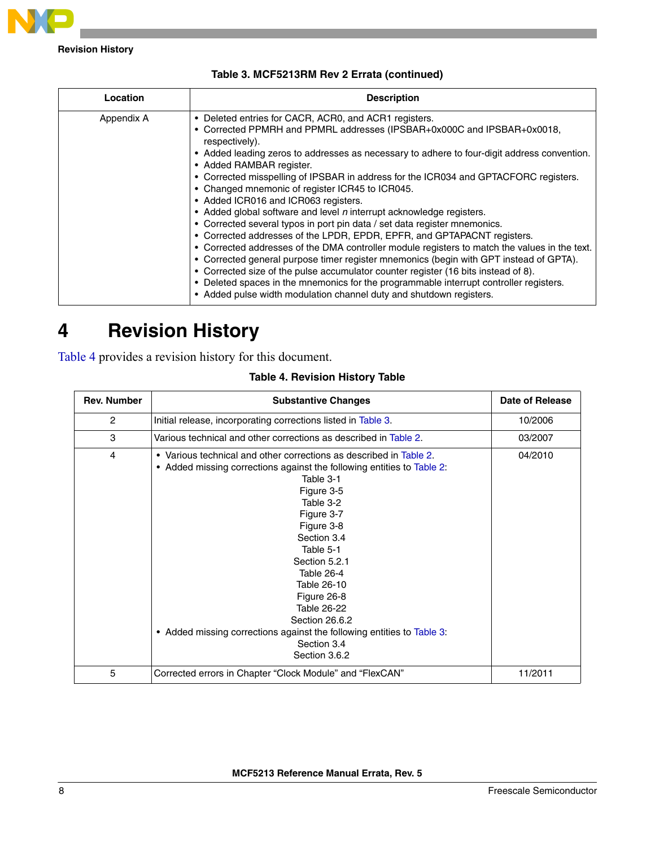

#### **Revision History**

| Location   | <b>Description</b>                                                                                                                                                                                                                                                                                                                                                                                                                                                                                                                                                                                                                                                                                                                                                                                                                                                                                                                                                                                                                                                                                                                                         |
|------------|------------------------------------------------------------------------------------------------------------------------------------------------------------------------------------------------------------------------------------------------------------------------------------------------------------------------------------------------------------------------------------------------------------------------------------------------------------------------------------------------------------------------------------------------------------------------------------------------------------------------------------------------------------------------------------------------------------------------------------------------------------------------------------------------------------------------------------------------------------------------------------------------------------------------------------------------------------------------------------------------------------------------------------------------------------------------------------------------------------------------------------------------------------|
| Appendix A | • Deleted entries for CACR, ACR0, and ACR1 registers.<br>• Corrected PPMRH and PPMRL addresses (IPSBAR+0x000C and IPSBAR+0x0018,<br>respectively).<br>• Added leading zeros to addresses as necessary to adhere to four-digit address convention.<br>• Added RAMBAR register.<br>• Corrected misspelling of IPSBAR in address for the ICR034 and GPTACFORC registers.<br>• Changed mnemonic of register ICR45 to ICR045.<br>• Added ICR016 and ICR063 registers.<br>$\bullet$ Added global software and level n interrupt acknowledge registers.<br>• Corrected several typos in port pin data / set data register mnemonics.<br>• Corrected addresses of the LPDR, EPDR, EPFR, and GPTAPACNT registers.<br>• Corrected addresses of the DMA controller module registers to match the values in the text.<br>• Corrected general purpose timer register mnemonics (begin with GPT instead of GPTA).<br>• Corrected size of the pulse accumulator counter register (16 bits instead of 8).<br>• Deleted spaces in the mnemonics for the programmable interrupt controller registers.<br>• Added pulse width modulation channel duty and shutdown registers. |

## **Table 3. MCF5213RM Rev 2 Errata (continued)**

# <span id="page-7-0"></span>**4 Revision History**

<span id="page-7-1"></span>[Table 4](#page-7-1) provides a revision history for this document.

## **Table 4. Revision History Table**

| <b>Rev. Number</b> | <b>Substantive Changes</b>                                                                                                                                                                                                                                                                                                                                                                                                                           | <b>Date of Release</b> |
|--------------------|------------------------------------------------------------------------------------------------------------------------------------------------------------------------------------------------------------------------------------------------------------------------------------------------------------------------------------------------------------------------------------------------------------------------------------------------------|------------------------|
| $\overline{2}$     | Initial release, incorporating corrections listed in Table 3.                                                                                                                                                                                                                                                                                                                                                                                        | 10/2006                |
| 3                  | Various technical and other corrections as described in Table 2.                                                                                                                                                                                                                                                                                                                                                                                     | 03/2007                |
| 4                  | • Various technical and other corrections as described in Table 2.<br>• Added missing corrections against the following entities to Table 2:<br>Table 3-1<br>Figure 3-5<br>Table 3-2<br>Figure 3-7<br>Figure 3-8<br>Section 3.4<br>Table 5-1<br>Section 5.2.1<br>Table 26-4<br>Table 26-10<br>Figure 26-8<br>Table 26-22<br>Section 26.6.2<br>• Added missing corrections against the following entities to Table 3:<br>Section 3.4<br>Section 3.6.2 | 04/2010                |
| 5                  | Corrected errors in Chapter "Clock Module" and "FlexCAN"                                                                                                                                                                                                                                                                                                                                                                                             | 11/2011                |